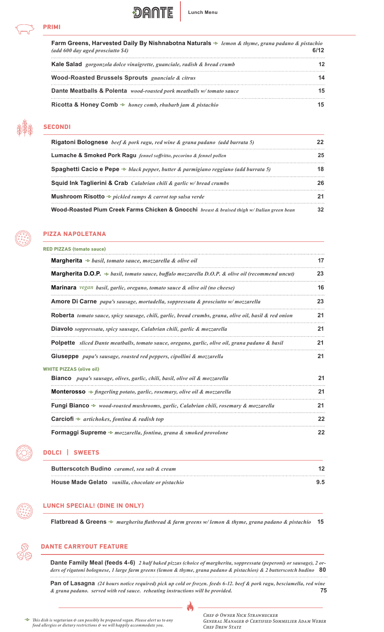

| Farm Greens, Harvested Daily By Nishnabotna Naturals $\sim$ lemon & thyme, grana padano & pistachio<br>(add 600 day aged prosciutto \$4) |    |
|------------------------------------------------------------------------------------------------------------------------------------------|----|
| <b>Kale Salad</b> gorgonzola dolce vinaigrette, guanciale, radish & bread crumb                                                          |    |
| <b>Wood-Roasted Brussels Sprouts</b> guanciale & citrus                                                                                  | 14 |
| Dante Meatballs & Polenta wood-roasted pork meatballs w/tomato sauce                                                                     | 15 |
| Ricotta & Honey Comb $\sim$ honey comb, rhubarb jam & pistachio                                                                          | 15 |

**DANTE** 

**Lunch Menu**



# **SECONDI**

| <b>Rigatoni Bolognese</b> beef & pork ragu, red wine & grana padano (add burrata 5)             |    |
|-------------------------------------------------------------------------------------------------|----|
| <b>Lumache &amp; Smoked Pork Ragu</b> fennel soffritto, pecorino & fennel pollen                |    |
| <b>Spaghetti Cacio e Pepe</b> $\sim$ black pepper, butter & parmigiano reggiano (add burrata 5) |    |
| <b>Squid Ink Taglierini &amp; Crab</b> Calabrian chili & garlic w/bread crumbs                  |    |
| <b>Mushroom Risotto</b> $\sim$ pickled ramps & carrot top salsa verde                           |    |
| Wood-Roasted Plum Creek Farms Chicken & Gnocchi breast & braised thigh w/ Italian green bean    | 32 |



# **PIZZA NAPOLETANA**

| <b>RED PIZZAS (tomato sauce)</b>                                                                             |    |
|--------------------------------------------------------------------------------------------------------------|----|
| <b>Margherita</b> $\sim$ basil, tomato sauce, mozzarella & olive oil                                         | 17 |
| <b>Margherita D.O.P.</b> $\sim$ basil, tomato sauce, buffalo mozzarella D.O.P. & olive oil (recommend uncut) | 23 |
| <b>Marinara</b> vegan basil, garlic, oregano, tomato sauce & olive oil (no cheese)                           | 16 |
| Amore Di Carne papa's sausage, mortadella, soppressata & prosciutto w/mozzarella                             | 23 |
| <b>Roberta</b> tomato sauce, spicy sausage, chili, garlic, bread crumbs, grana, olive oil, basil & red onion | 21 |
| <b>Diavolo</b> soppressata, spicy sausage, Calabrian chili, garlic & mozzarella                              | 21 |
| Polpette sliced Dante meatballs, tomato sauce, oregano, garlic, olive oil, grana padano & basil              | 21 |
| <b>Giuseppe</b> papa's sausage, roasted red peppers, cipollini & mozzarella                                  | 21 |
| <b>WHITE PIZZAS (olive oil)</b>                                                                              |    |
| <b>Bianco</b> papa's sausage, olives, garlic, chili, basil, olive oil & mozzarella                           | 21 |
| <b>Monterosso</b> $\sim$ fingerling potato, garlic, rosemary, olive oil & mozzarella                         | 21 |
| Fungi Bianco � wood-roasted mushrooms, garlic, Calabrian chili, rosemary & mozzarella                        | 21 |
| <b>Carciofi</b> $\sim$ artichokes, fontina & radish top                                                      | 22 |
| <b>Formaggi Supreme</b> $\sim$ mozzarella, fontina, grana & smoked provolone                                 | 22 |



# **DOLCI | SWEETS**

| <b>Butterscotch Budino</b> caramel, sea salt & cream | 12  |
|------------------------------------------------------|-----|
| House Made Gelato vanilla, chocolate or pistachio    | 9.5 |

**LUNCH SPECIAL! (DINE IN ONLY)**

**Flatbread & Greens** *h margherita flatbread & farm greens w/ lemon & thyme, grana padano & pistachio* **15**

# **DANTE CARRYOUT FEATURE**

**Dante Family Meal (feeds 4-6)** *2 half baked pizzas (choice of margherita, soppressata (peperoni) or sausage), 2 orders of rigatoni bolognese, 1 large farm greens (lemon & thyme, grana padano & pistachios) & 2 butterscotch budino* **80**

**Pan of Lasagna** *(24 hours notice required) pick up cold or frozen. feeds 6-12. beef & pork ragu, besciamella, red wine & grana padano. served with red sauce. reheating instructions will be provided.* **75**

M



*h This dish is vegetarian & can possibly be prepared vegan. Please alert us to any food allergies or dietary restrictions & we will happily accommodate you.*

*Chef & Owner Nick Strawhecker General Manager & Certified Sommelier Adam Weber Chef Drew Statz*